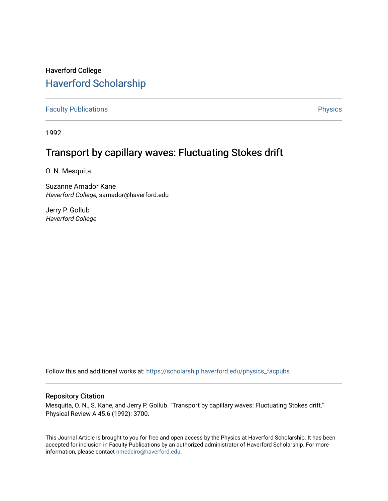# Haverford College [Haverford Scholarship](https://scholarship.haverford.edu/)

[Faculty Publications](https://scholarship.haverford.edu/physics_facpubs) **Physics** 

1992

# Transport by capillary waves: Fluctuating Stokes drift

O. N. Mesquita

Suzanne Amador Kane Haverford College, samador@haverford.edu

Jerry P. Gollub Haverford College

Follow this and additional works at: [https://scholarship.haverford.edu/physics\\_facpubs](https://scholarship.haverford.edu/physics_facpubs?utm_source=scholarship.haverford.edu%2Fphysics_facpubs%2F38&utm_medium=PDF&utm_campaign=PDFCoverPages) 

## Repository Citation

Mesquita, O. N., S. Kane, and Jerry P. Gollub. "Transport by capillary waves: Fluctuating Stokes drift." Physical Review A 45.6 (1992): 3700.

This Journal Article is brought to you for free and open access by the Physics at Haverford Scholarship. It has been accepted for inclusion in Faculty Publications by an authorized administrator of Haverford Scholarship. For more information, please contact [nmedeiro@haverford.edu.](mailto:nmedeiro@haverford.edu)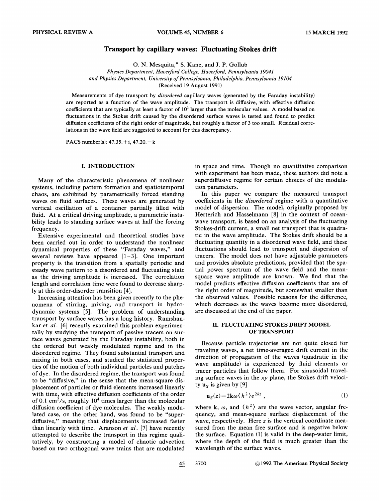### Transport by capillary waves: Fluctuating Stokes drift

O. N. Mesquita, \* S. Kane, and J. P. Gollub

Physics Department, Haverford College, Haverford, Pennsylvania 19041 and Physics Department, University of Pennsylvania, Philadelphia, Pennsylvania 19104 (Received 19 August 1991)

Measurements of dye transport by disordered capillary waves (generated by the Faraday instability) are reported as a function of the wave amplitude. The transport is diffusive, with effective diffusion coefficients that are typically at least a factor of  $10<sup>3</sup>$  larger than the molecular values. A model based on fluctuations in the Stokes drift caused by the disordered surface waves is tested and found to predict diffusion coefficients of the right order of magnitude, but roughly a factor of 3 too small. Residual correlations in the wave field are suggested to account for this discrepancy.

PACS number(s): 47.35.+i, 47.20.—<sup>k</sup>

#### I. INTRODUCTION

Many of the characteristic phenomena of nonlinear systems, including pattern formation and spatiotemporal chaos, are exhibited by parametrically forced standing waves on fluid surfaces. These waves are generated by vertical oscillation of a container partially filled with fluid. At a critical driving amplitude, a parametric instability leads to standing surface waves at half the forcing frequency.

Extensive experimental and theoretical studies have been carried out in order to understand the nonlinear been carried out in order to understand the nonlinear<br>dynamical properties of these "Faraday waves," and several reviews have appeared  $[1-3]$ . One important property is the transition from a spatially periodic and steady wave pattern to a disordered and fluctuating state as the driving amplitude is increased. The correlation length and correlation time were found to decrease sharply at this order-disorder transition [4].

Increasing attention has been given recently to the phenomena of stirring, mixing, and transport in hydrodynamic systems [5]. The problem of understanding transport by surface waves has a long history. Ramshankar et al. [6] recently examined this problem experimentally by studying the transport of passive tracers on surface waves generated by the Faraday instability, both in the ordered but weakly modulated regime and in the disordered regime. They found substantial transport and mixing in both cases, and studied the statistical properties of the motion of both individual particles and patches of dye. In the disordered regime, the transport was found to be "diffusive," in the sense that the mean-square displacement of particles or fluid elements increased linearly with time, with effective diffusion coefficients of the order of 0.1 cm<sup>2</sup>/s, roughly  $10<sup>4</sup>$  times larger than the molecular diffusion coefficient of dye molecules. The weakly modulated case, on the other hand, was found to be "superdiffusive," meaning that displacements increased faster than linearly with time. Aranson et  $al$ . [7] have recently attempted to describe the transport in this regime qualitatively, by constructing a model of chaotic advection based on two orthogonal wave trains that are modulated

in space and time. Though no quantitative comparison with experiment has been made, these authors did note a superdiffusive regime for certain choices of the modulation parameters.

In this paper we compare the measured transport coefficients in the disordered regime with a quantitative model of dispersion. The model, originally proposed by Herterich and Hasselmann [8] in the context of oceanwave transport, is based on an analysis of the fluctuating Stokes-drift current, a small net transport that is quadratic in the wave amplitude. The Stokes drift should be a fluctuating quantity in a disordered wave field, and these fluctuations should lead to transport and dispersion of tracers. The model does not have adjustable parameters and provides absolute predictions, provided that the spatial power spectrum of the wave field and the meansquare wave amplitude are known. We find that the model predicts effective diffusion coefficients that are of the right order of magnitude, but somewhat smaller than the observed values. Possible reasons for the difference, which decreases as the waves become more disordered, are discussed at the end of the paper.

#### II. FLUCTUATING STOKES DRIFT MODEL OF TRANSPORT

Because particle trajectories are not quite closed for traveling waves, a net time-averaged drift current in the direction of propagation of the waves (quadratic in the wave amplitude) is experienced by fluid elements or tracer particles that follow them. For sinusoidal traveling surface waves in the xy plane, the Stokes drift velocity  $\mathbf{u}_s$  is given by [9]

$$
\mathbf{u}_S(z) = 2\mathbf{k}\omega \langle h^2 \rangle e^{2kz} \,, \tag{1}
$$

where k,  $\omega$ , and  $\langle h^2 \rangle$  are the wave vector, angular frequency, and mean-square surface displacement of the wave, respectively. Here z is the vertical coordinate measured from the mean free surface and is negative below the surface. Equation (l) is valid in the deep-water limit, where the depth of the fluid is much greater than the wavelength of the surface waves.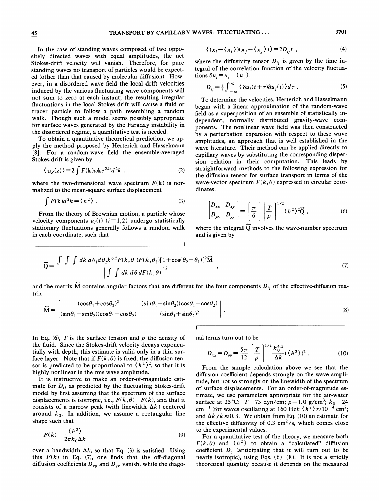In the case of standing waves composed of two oppositely directed waves with equal amplitudes, the net Stokes-drift velocity will vanish. Therefore, for pure standing waves no transport of particles would be expected (other than that caused by molecular diffusion). However, in a disordered wave field the local drift velocities induced by the various fluctuating wave components will not sum to zero at each instant; the resulting irregular fluctuations in the local Stokes drift will cause a fluid or tracer particle to follow a path resembling a random walk. Though such a model seems possibly appropriate for surface waves generated by the Faraday instability in the disordered regime, a quantitative test is needed.

To obtain a quantitative theoretical prediction, we apply the method proposed by Herterich and Hasselmann [8]. For a random-wave field the ensemble-averaged Stokes drift is given by

$$
\langle \mathbf{u}_S(z) \rangle = 2 \int F(\mathbf{k}) \omega \mathbf{k} e^{2kz} d^2k \quad , \tag{2}
$$

where the two-dimensional wave spectrum  $F(k)$  is normalized to the mean-square surface displacement

$$
\int F(\mathbf{k})d^2k = \langle h^2 \rangle \tag{3}
$$

From the theory of Brownian motion, a particle whose velocity components  $u_i(t)$  ( $i = 1,2$ ) undergo statistically stationary fluctuations generally follows a random walk in each coordinate, such that

$$
\left\langle (x_i - \langle x_i \rangle)(x_j - \langle x_j \rangle) \right\rangle = 2D_{ij}t \tag{4}
$$

where the diffusivity tensor  $D_{ij}$  is given by the time integral of the correlation function of the velocity fluctuations  $\delta u_i = u_i - \langle u_i \rangle$ :

$$
D_{ij} = \frac{1}{2} \int_{-\infty}^{\infty} \langle \delta u_i(t+\tau) \delta u_j(t) \rangle d\tau . \tag{5}
$$

To determine the velocities, Herterich and Hasselmann began with a linear approximation of the random-wave field as a superposition of an ensemble of statistically independent, normally distributed gravity-wave components. The nonlinear wave field was then constructed by a perturbation expansion with respect to these wave amplitudes, an approach that is well established in the wave literature. Their method can be applied directly to capillary waves by substituting the corresponding dispersion relation in their computation. This leads by straightforward methods to the following expression for the diffusion tensor for surface transport in terms of the wave-vector spectrum  $F(k, \theta)$  expressed in circular coordinates:

$$
\begin{bmatrix} D_{xx} & D_{xy} \\ D_{yx} & D_{yy} \end{bmatrix} = \left( \frac{\pi}{6} \right) \left( \frac{T}{\rho} \right)^{1/2} (h^2)^2 \vec{Q} , \qquad (6)
$$

where the integral  $\vec{Q}$  involves the wave-number spectrum and is given by

$$
\vec{Q} = \frac{\int \int \int dk \, d\theta_1 d\theta_2 k^{6.5} F(k, \theta_1) F(k, \theta_2) [1 + \cos(\theta_2 - \theta_1)]^2 \vec{M}}{\left[\int \int dk \, d\theta \, dF(k, \theta)\right]^2} , \qquad (7)
$$

and the matrix  $\tilde{M}$  contains angular factors that are different for the four components  $D_{ij}$  of the effective-diffusion matrix

$$
\vec{M} = \begin{bmatrix} (\cos\theta_1 + \cos\theta_2)^2 & (\sin\theta_1 + \sin\theta_2)(\cos\theta_1 + \cos\theta_2) \\ (\sin\theta_1 + \sin\theta_2)(\cos\theta_1 + \cos\theta_2) & (\sin\theta_1 + \sin\theta_2)^2 \end{bmatrix}.
$$
\n(8)

In Eq. (6), T is the surface tension and  $\rho$  the density of the fluid. Since the Stokes-drift velocity decays exponentially with depth, this estimate is valid only in a thin surface layer. Note that if  $F(k, \theta)$  is fixed, the diffusion tensor is predicted to be proportional to  $\langle h^2 \rangle^2$ , so that it is highly nonlinear in the rms wave amplitude.

It is instructive to make an order-of-magnitude estimate for  $D_{ij}$  as predicted by the fluctuating Stokes-drift model by first assuming that the spectrum of the surface displacements is isotropic, i.e.,  $F(k, \theta) = F(k)$ , and that it consists of a narrow peak (with linewidth  $\Delta k$ ) centered around  $k_0$ . In addition, we assume a rectangular line shape such that

$$
F(k) = \frac{\langle h^2 \rangle}{2\pi k_0 \Delta k} \tag{9}
$$

over a bandwidth  $\Delta k$ , so that Eq. (3) is satisfied. Using this  $F(k)$  in Eq. (7), one finds that the off-diagonal diffusion coefficients  $D_{xy}$  and  $D_{yx}$  vanish, while the diagonal terms turn out to be

$$
D_{xx} = D_{yy} = \frac{5\pi}{12} \left[ \frac{T}{\rho} \right]^{1/2} \frac{k_0^{4.5}}{\Delta k} (\langle h^2 \rangle)^2 . \tag{10}
$$

From the sample calculation above we see that the diffusion coefficient depends strongly on the wave amplitude, but not so strongly on the linewidth of the spectrum of surface displacements. For an order-of-magnitude estimate, we use parameters appropriate for the air-water surface at 25 °C:  $T=73 \text{ dyn/cm}$ ;  $\rho=1.0 \text{ g/cm}^3$ ;  $k_0=24$ cm<sup>-1</sup> (for waves oscillating at 160 Hz);  $\langle h^2 \rangle \approx 10^{-4}$  cm<sup>2</sup>; and  $\Delta k / k \approx 0.3$ . We obtain from Eq. (10) an estimate for the effective diffusivity of 0.3  $\text{cm}^2/\text{s}$ , which comes close to the experimental values.

For a quantitative test of the theory, we measure both  $F(k, \theta)$  and  $\langle h^2 \rangle$  to obtain a "calculated" diffusion coefficient  $D_c$  (anticipating that it will turn out to be nearly isotropic), using Eqs.  $(6)-(8)$ . It is not a strictly theoretical quantity because it depends on the measured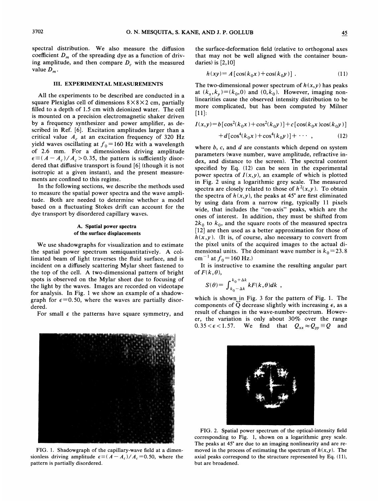spectral distribution. We also measure the diffusion coefficient  $D_m$  of the spreading dye as a function of driving amplitude, and then compare  $D_c$  with the measured value  $D_m$ .

#### III. EXPERIMENTAL MEASUREMENTS

All the experiments to be described are conducted in a square Plexiglas cell of dimensions  $8 \times 8 \times 2$  cm, partially filled to a depth of 1.5 cm with deionized water. The cell is mounted on a precision electromagnetic shaker driven by a frequency synthesizer and power amplifier, as described in Ref. [6]. Excitation amplitudes larger than a critical value  $A_c$  at an excitation frequency of 320 Hz yield waves oscillating at  $f_0 = 160$  Hz with a wavelength of 2.6 mm. For a dimensionless driving amplitude  $\epsilon \equiv (A - A_c)/A_c > 0.35$ , the pattern is sufficiently disordered that diffusive transport is found [6] (though it is not isotropic at a given instant), and the present measurements are confined to this regime.

In the following sections, we describe the methods used to measure the spatial power spectra and the wave amplitude. Both are needed to determine whether a model based on a fluctuating Stokes drift can account for the dye transport by disordered capillary waves.

#### A. Spatial power spectra of the surface displacements

We use shadowgraphs for visualization and to estimate the spatial power spectrum semiquantitatively. A collimated beam of light traverses the fluid surface, and is incident on a diffusely scattering Mylar sheet fastened to the top of the cell. A two-dimensional pattern of bright spots is observed on the Mylar sheet due to focusing of the light by the waves. Images are recorded on videotape for analysis. In Fig. <sup>1</sup> we show an example of a shadowgraph for  $\epsilon = 0.50$ , where the waves are partially disordered.

For small  $\epsilon$  the patterns have square symmetry, and



FIG. 1. Shadowgraph of the capillary-wave field at a dimensionless driving amplitude  $\epsilon \equiv (A - A_c)/A_c = 0.50$ , where the pattern is partially disordered.

the surface-deformation field (relative to orthogonal axes that may not be well aligned with the container boundaries) is [2,10]

$$
h(xy) = A [\cos(k_0 x) + \cos(k_0 y)].
$$
 (11)

The two-dimensional power spectrum of  $h(x, y)$  has peaks at  $(k_x, k_y) = (k_0, 0)$  and  $(0, k_0)$ . However, imaging nonlinearities cause the observed intensity distribution to be more complicated, but has been computed by Milner [11]:

$$
I(x,y) = b[\cos^{2}(k_{0}x) + \cos^{2}(k_{0}y)] + c[\cos(k_{0}x)\cos(k_{0}y)] + d[\cos^{4}(k_{0}x) + \cos^{4}(k_{0}y)] + \cdots,
$$
 (12)

where  $b$ ,  $c$ , and  $d$  are constants which depend on system parameters (wave number, wave amplitude, refractive index, and distance to the screen). The spectral content specified by Eq. (12) can be seen in the experimental power spectra of  $I(x,y)$ , an example of which is plotted in Fig. 2 using a logarithmic grey scale. The measured spectra are closely related to those of  $h^2(x,y)$ . To obtain the spectra of  $h(x, y)$ , the peaks at 45° are first eliminated by using data from a narrow ring, typically 11 pixels wide, that includes the "on-axis" peaks, which are the ones of interest. In addition, they must be shifted from  $2k_0$  to  $k_0$ , and the square roots of the measured spectra [12] are then used as a better approximation for those of  $h(x, y)$ . (It is, of course, also necessary to convert from the pixel units of the acquired images to the actual dimensional units. The dominant wave number is  $k_0 = 23.8$ cm<sup>-1</sup> at  $f_0$  = 160 Hz.)

It is instructive to examine the resulting angular part of  $F(k, \theta)$ ,

$$
S(\theta) = \int_{k_0 - \Delta k}^{k_0 + \Delta k} k F(k, \theta) dk ,
$$

which is shown in Fig. 3 for the pattern of Fig. 1. The components of  $\widetilde{Q}$  decrease slightly with increasing  $\epsilon$ , as a result of changes in the wave-number spectrum. However, the variation is only about 30% over the range  $0.35 < \epsilon < 1.57$ . We find that  $Q_{xx} \approx Q_{yy} \equiv Q$  and



FIG. 2. Spatial power spectrum of the optical-intensity field corresponding to Fig. 1, shown on a logarithmic grey scale. The peaks at 45° are due to an imaging nonlinearity and are removed in the process of estimating the spectrum of  $h(x, y)$ . The axial peaks correspond to the structure represented by Eq. (11), but are broadened.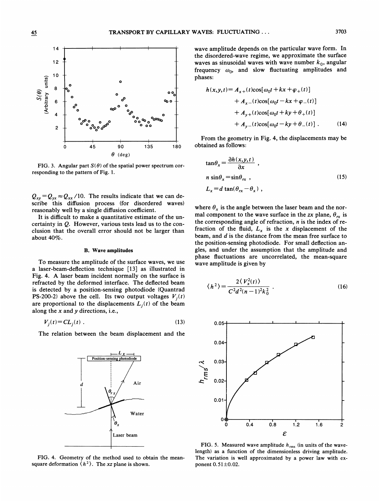

FIG. 3. Angular part  $S(\theta)$  of the spatial power spectrum corresponding to the pattern of Fig. 1.

 $Q_{xy} = Q_{yx} \approx Q_{xx}$  /10. The results indicate that we can describe this diffusion process (for disordered waves) reasonably well by a single diffusion coefficient.

It is difficult to make a quantitative estimate of the uncertainty in Q. However, various tests lead us to the conclusion that the overall error should not be larger than about 40%.

#### B. Wave amplitudes

To measure the amplitude of the surface waves, we use a laser-beam-defiection technique [13] as illustrated in Fig. 4. A laser beam incident normally on the surface is refracted by the deformed interface. The deflected beam is detected by a position-sensing photodiode (Quantrad PS-200-2) above the cell. Its two output voltages  $V_i(t)$ are proportional to the displacements  $L_i(t)$  of the beam along the  $x$  and  $y$  directions, i.e.,

$$
V_i(t) = CL_i(t) \tag{13}
$$

The relation between the beam displacement and the



FIG. 4. Geometry of the method used to obtain the meansquare deformation  $\langle h^2 \rangle$ . The xz plane is shown.

wave amplitude depends on the particular wave form. In the disordered-wave regime, we approximate the surface waves as sinusoidal waves with wave number  $k_0$ , angular frequency  $\omega_0$ , and slow fluctuating amplitudes and phases:

$$
h(x,y,t) = A_{x+}(t)\cos[\omega_0 t + kx + \varphi_+(t)]
$$
  
+ 
$$
A_{x-}(t)\cos[\omega_0 t - kx + \varphi_-(t)]
$$
  
+ 
$$
A_{y+}(t)\cos[\omega_0 t + ky + \theta_+(t)]
$$
  
+ 
$$
A_{y-}(t)\cos[\omega_0 t - ky + \theta_-(t)].
$$
 (14)

From the geometry in Fig. 4, the displacements may be obtained as follows:

$$
\tan \theta_x = \frac{\partial h(x, y, t)}{\partial x},
$$
  
\n
$$
n \sin \theta_x = \sin \theta_{rx},
$$
  
\n
$$
L_x = d \tan(\theta_{rx} - \theta_x),
$$
\n(15)

where  $\theta_x$  is the angle between the laser beam and the normal component to the wave surface in the zx plane,  $\theta_{rx}$  is the corresponding angle of refraction,  $n$  is the index of refraction of the fluid,  $L_x$  is the x displacement of the beam, and d is the distance from the mean free surface to the position-sensing photodiode. For small deflection angles, and under the assumption that the amplitude and phase fluctuations are uncorrelated, the mean-square wave amplitude is given by

$$
\langle h^2 \rangle = \frac{2 \langle V_x^2(t) \rangle}{C^2 d^2 (n-1)^2 k_0^2} \ . \tag{16}
$$



FIG. 5. Measured wave amplitude  $h_{\text{rms}}$  (in units of the wave length) as a function of the dimensionless driving amplitude. The variation is well approximated by a power law with exponent  $0.51 \pm 0.02$ .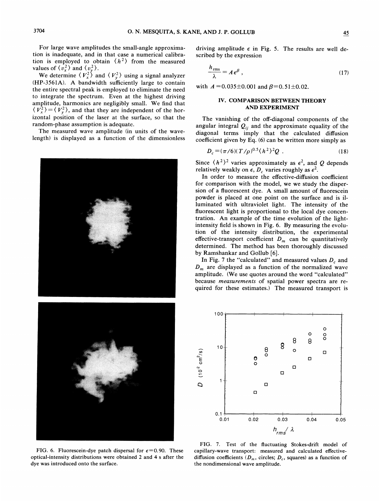For large wave amplitudes the small-angle approximation is inadequate, and in that case a numerical calibration is employed to obtain  $\langle h^2 \rangle$  from the measured values of  $\langle v_x^2 \rangle$  and  $\langle v_y^2 \rangle$ .

We determine  $\langle V_x^2 \rangle$  and  $\langle V_y^2 \rangle$  using a signal analyzer (HP-3561A). A bandwidth sufficiently large to contain the entire spectral peak is employed to eliminate the need to integrate the spectrum. Even at the highest driving amplitude, harmonics are negligibly sma11. We find that  $\langle V_x^2 \rangle = \langle V_y^2 \rangle$ , and that they are independent of the horizontal position of the laser at the surface, so that the random-phase assumption is adequate.

The measured wave amplitude (in units of the wavelength) is displayed as a function of the dimensionless



K" '

FIG. 6. Fluorescein-dye patch dispersal for  $\epsilon$ =0.90. These optical-intensity distributions were obtained 2 and 4 s after the dye was introduced onto the surface.

driving amplitude  $\epsilon$  in Fig. 5. The results are well described by the expression

$$
\frac{h_{\rm rms}}{\lambda} = A \, \epsilon^{\beta} \,, \tag{17}
$$

with  $A = 0.035 \pm 0.001$  and  $\beta = 0.51 \pm 0.02$ .

### IV. COMPARISON BETWEEN THEORY AND EXPERIMENT

The vanishing of the off-diagonal components of the angular integral  $Q_{ii}$  and the approximate equality of the diagonal terms imply that the calculated diffusion coefficient given by Eq.  $(6)$  can be written more simply as

$$
D_c = (\pi/6)(T/\rho)^{0.5} (h^2)^2 Q \t . \t (18)
$$

Since  $\langle h^2 \rangle^2$  varies approximately as  $\epsilon^2$ , and Q depends relatively weakly on  $\epsilon$ ,  $D_c$  varies roughly as  $\epsilon^2$ .

In order to measure the effective-diffusion coefficient for comparison with the model, we we study the dispersion of a fluorescent dye. A small amount of fluorescein powder is placed at one point on the surface and is illuminated with ultraviolet light. The intensity of the fluorescent light is proportional to the local dye concentration. An example of the time evolution of the lightintensity field is shown in Fig. 6. By measuring the evolution of the intensity distribution, the experimental effective-transport coefficient  $D_m$  can be quantitatively determined. The method has been thoroughly discussed by Ramshankar and Gollub [6].

In Fig. 7 the "calculated" and measured values  $D_c$  and  $D_m$  are displayed as a function of the normalized wave amplitude. (We use quotes around the word "calculated" because measurements of spatial power spectra are required for these estimates.) The measured transport is



FIG. 7. Test of the fluctuating Stokes-drift model of capillary-wave transport: measured and calculated effectivediffusion coefficients ( $D_m$ , circles;  $D_c$ , squares) as a function of the nondimensional wave amplitude.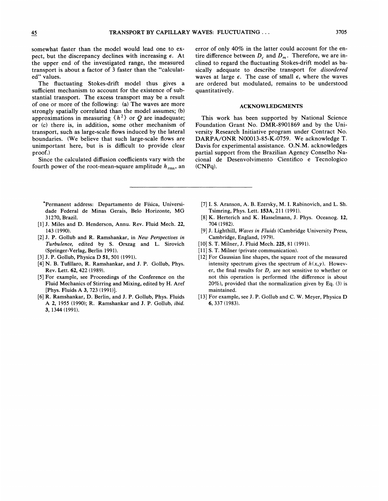somewhat faster than the model would lead one to expect, but the discrepancy declines with increasing  $\epsilon$ . At the upper end of the investigated range, the measured transport is about a factor of 3 faster than the "calculated" values.

The fluctuating Stokes-drift model thus gives a sufficient mechanism to account for the existence of substantial transport. The excess transport may be a result of one or more of the following: (a) The waves are more strongly spatially correlated than the model assumes; (b) approximations in measuring  $\langle h^2 \rangle$  or Q are inadequate; or (c) there is, in addition, some other mechanism of transport, such as large-scale flows induced by the lateral boundaries. (We believe that such large-scale flows are unimportant here, but is is difficult to provide clear proof.)

Since the calculated diffusion coefficients vary with the fourth power of the root-mean-square amplitude  $h_{\text{rms}}$ , an

'Permanent address: Departamento de Fisica, Universidade Federal de Minas Gerais, Belo Horizonte, MG 31270, Brazil.

- [1] J. Miles and D. Henderson, Annu. Rev. Fluid Mech. 22, 143 (1990).
- [2] J. P. Gollub and R. Ramshankar, in New Perspectives in Turbulence, edited by S. Orszag and L. Sirovich (Springer-Verlag, Berlin 1991).
- [3] J. P. Gollub, Physica D 51, 501 (1991).
- [4] N. B. Tufillaro, R. Ramshankar, and J. P. Gollub, Phys. Rev. Lett. 62, 422 (1989).
- [5] For example, see Proceedings of the Conference on the Fluid Mechanics of Stirring and Mixing, edited by H. Aref [Phys. Fluids A 3, 723 (1991)].
- [6] R. Ramshankar, D. Berlin, and J. P. Gollub, Phys. Fluids A 2, 1955 (1990); R. Ramshankar and J. P. Gollub, ibid. 3, 1344 (1991).

error of only 40% in the latter could account for the entire difference between  $D_c$  and  $D_m$ . Therefore, we are inclined to regard the fluctuating Stokes-drift model as basically adequate to describe transport for disordered waves at large  $\epsilon$ . The case of small  $\epsilon$ , where the waves are ordered but modulated, remains to be understood quantitatively.

#### ACKNOWLEDGMENTS

This work has been supported by National Science Foundation Grant No. DMR-8901869 and by the University Research Initiative program under Contract No. DARPA/ONR N00013-85-K-0759. We acknowledge T. Davis for experimental assistance. O.N.M. acknowledges partial support from the Brazilian Agency Conselho Nacional de Desenvolvimento Cientifico e Tecnologico (CNPq).

- [7] I. S. Aranson, A. B. Ezersky, M. I. Rabinovich, and L. Sh. Tsimring, Phys. Lett. 153A, 211 (1991).
- [8] K. Herterich and K. Hasselmann, J. Phys. Oceanog. 12, 704 (1982).
- [9] J. Lighthill, Waves in Fluids (Cambridge University Press, Cambridge, England, 1979).
- [10] S. T. Milner, J. Fluid Mech. 225, 81 (1991).
- [11] S. T. Milner (private communication).
- [12] For Gaussian line shapes, the square root of the measured intensity spectrum gives the spectrum of  $h(x, y)$ . However, the final results for  $D_c$  are not sensitive to whether or not this operation is performed (the difference is about  $20\%$ ), provided that the normalization given by Eq. (3) is maintained.
- [13] For example, see J. P. Gollub and C. W. Meyer, Physica D 6, 337 (1983).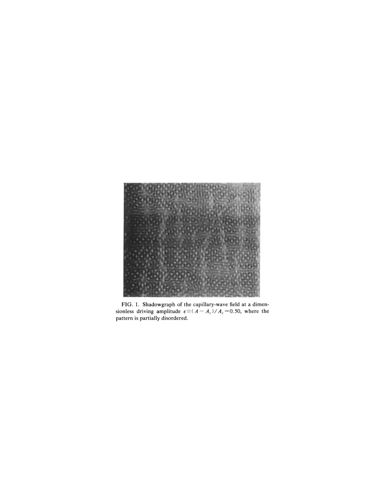

FIG. 1. Shadowgraph of the capillary-wave field at a dimensionless driving amplitude  $\epsilon \equiv (A - A_c)/A_c = 0.50$ , where the pattern is partially disordered.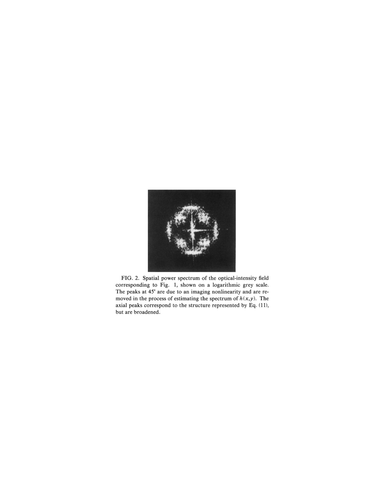

FIG. 2. Spatial power spectrum of the optical-intensity field corresponding to Fig. 1, shown on a logarithmic grey scale. The peaks at 45° are due to an imaging nonlinearity and are removed in the process of estimating the spectrum of  $h(x, y)$ . The axial peaks correspond to the structure represented by Eq. (11), but are broadened.